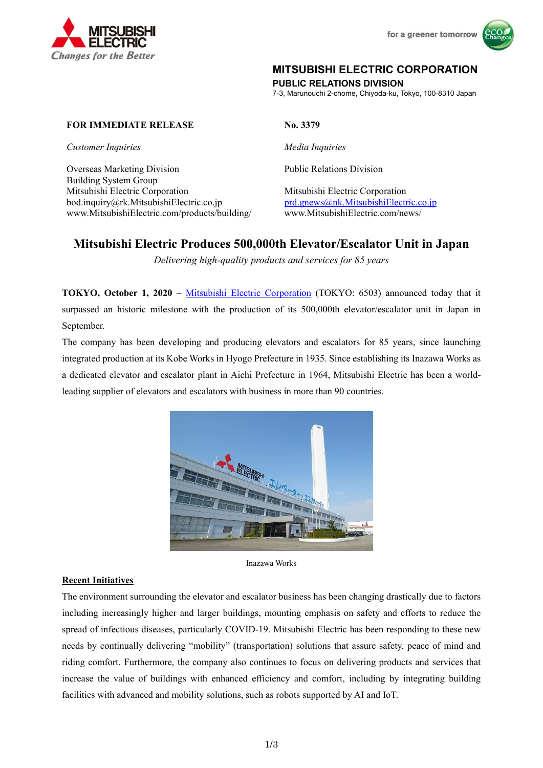



## **MITSUBISHI ELECTRIC CORPORATION**

**PUBLIC RELATIONS DIVISION** 

7-3, Marunouchi 2-chome, Chiyoda-ku, Tokyo, 100-8310 Japan

## **FOR IMMEDIATE RELEASE No. 3379**

*Customer Inquiries* and *Media Inquiries* 

Overseas Marketing Division Building System Group Mitsubishi Electric Corporation Mitsubishi Electric Corporation bod.inquiry@rk.MitsubishiElectric.co.jp prd.gnews@nk.MitsubishiElectric.co.jp www.MitsubishiElectric.com/products/building/ www.MitsubishiElectric.com/news/

Public Relations Division

# **Mitsubishi Electric Produces 500,000th Elevator/Escalator Unit in Japan**

*Delivering high-quality products and services for 85 years* 

**TOKYO, October 1, 2020** – Mitsubishi Electric Corporation (TOKYO: 6503) announced today that it surpassed an historic milestone with the production of its 500,000th elevator/escalator unit in Japan in September.

The company has been developing and producing elevators and escalators for 85 years, since launching integrated production at its Kobe Works in Hyogo Prefecture in 1935. Since establishing its Inazawa Works as a dedicated elevator and escalator plant in Aichi Prefecture in 1964, Mitsubishi Electric has been a worldleading supplier of elevators and escalators with business in more than 90 countries.



Inazawa Works

## **Recent Initiatives**

The environment surrounding the elevator and escalator business has been changing drastically due to factors including increasingly higher and larger buildings, mounting emphasis on safety and efforts to reduce the spread of infectious diseases, particularly COVID-19. Mitsubishi Electric has been responding to these new needs by continually delivering "mobility" (transportation) solutions that assure safety, peace of mind and riding comfort. Furthermore, the company also continues to focus on delivering products and services that increase the value of buildings with enhanced efficiency and comfort, including by integrating building facilities with advanced and mobility solutions, such as robots supported by AI and IoT.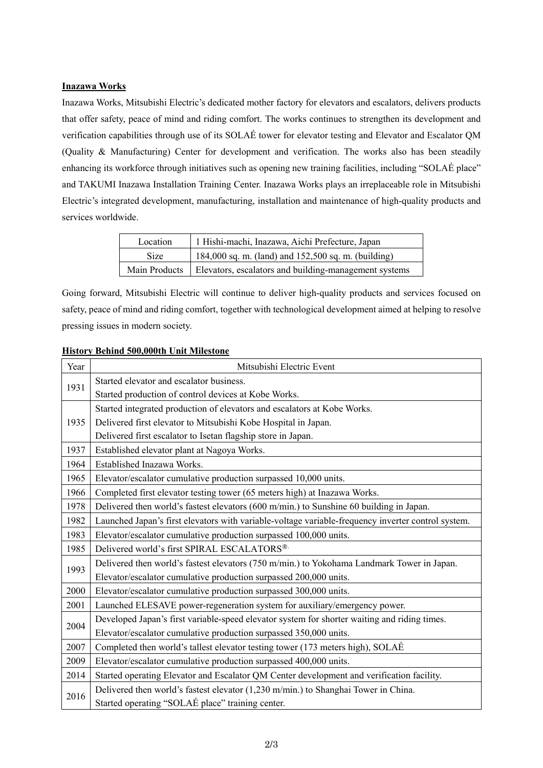## **Inazawa Works**

Inazawa Works, Mitsubishi Electric's dedicated mother factory for elevators and escalators, delivers products that offer safety, peace of mind and riding comfort. The works continues to strengthen its development and verification capabilities through use of its SOLAÉ tower for elevator testing and Elevator and Escalator QM (Quality & Manufacturing) Center for development and verification. The works also has been steadily enhancing its workforce through initiatives such as opening new training facilities, including "SOLAÉ place" and TAKUMI Inazawa Installation Training Center. Inazawa Works plays an irreplaceable role in Mitsubishi Electric's integrated development, manufacturing, installation and maintenance of high-quality products and services worldwide.

| Location      | 1 Hishi-machi, Inazawa, Aichi Prefecture, Japan       |
|---------------|-------------------------------------------------------|
| <b>Size</b>   | 184,000 sq. m. (land) and 152,500 sq. m. (building)   |
| Main Products | Elevators, escalators and building-management systems |

Going forward, Mitsubishi Electric will continue to deliver high-quality products and services focused on safety, peace of mind and riding comfort, together with technological development aimed at helping to resolve pressing issues in modern society.

| <b>History Behind 500,000th Unit Milestone</b> |
|------------------------------------------------|
|------------------------------------------------|

| Year | Mitsubishi Electric Event                                                                          |
|------|----------------------------------------------------------------------------------------------------|
| 1931 | Started elevator and escalator business.                                                           |
|      | Started production of control devices at Kobe Works.                                               |
| 1935 | Started integrated production of elevators and escalators at Kobe Works.                           |
|      | Delivered first elevator to Mitsubishi Kobe Hospital in Japan.                                     |
|      | Delivered first escalator to Isetan flagship store in Japan.                                       |
| 1937 | Established elevator plant at Nagoya Works.                                                        |
| 1964 | Established Inazawa Works.                                                                         |
| 1965 | Elevator/escalator cumulative production surpassed 10,000 units.                                   |
| 1966 | Completed first elevator testing tower (65 meters high) at Inazawa Works.                          |
| 1978 | Delivered then world's fastest elevators (600 m/min.) to Sunshine 60 building in Japan.            |
| 1982 | Launched Japan's first elevators with variable-voltage variable-frequency inverter control system. |
| 1983 | Elevator/escalator cumulative production surpassed 100,000 units.                                  |
| 1985 | Delivered world's first SPIRAL ESCALATORS®                                                         |
|      | Delivered then world's fastest elevators (750 m/min.) to Yokohama Landmark Tower in Japan.         |
| 1993 | Elevator/escalator cumulative production surpassed 200,000 units.                                  |
| 2000 | Elevator/escalator cumulative production surpassed 300,000 units.                                  |
| 2001 | Launched ELESAVE power-regeneration system for auxiliary/emergency power.                          |
| 2004 | Developed Japan's first variable-speed elevator system for shorter waiting and riding times.       |
|      | Elevator/escalator cumulative production surpassed 350,000 units.                                  |
| 2007 | Completed then world's tallest elevator testing tower (173 meters high), SOLAÉ                     |
| 2009 | Elevator/escalator cumulative production surpassed 400,000 units.                                  |
| 2014 | Started operating Elevator and Escalator QM Center development and verification facility.          |
| 2016 | Delivered then world's fastest elevator (1,230 m/min.) to Shanghai Tower in China.                 |
|      | Started operating "SOLAÉ place" training center.                                                   |